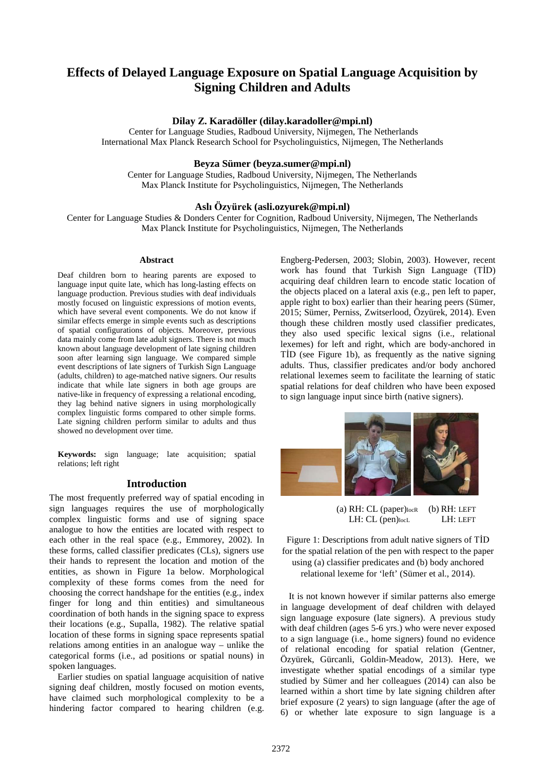# **Effects of Delayed Language Exposure on Spatial Language Acquisition by Signing Children and Adults**

# **Dilay Z. Karadöller [\(dilay.karadoller@mpi.nl\)](mailto:dilay.karadoller@mpi.nl)**

Center for Language Studies, Radboud University, Nijmegen, The Netherlands International Max Planck Research School for Psycholinguistics, Nijmegen, The Netherlands

# **Beyza Sümer (beyza.sumer@mpi.nl)**

Center for Language Studies, Radboud University, Nijmegen, The Netherlands Max Planck Institute for Psycholinguistics, Nijmegen, The Netherlands

## **Aslı Özyürek (asli.ozyurek@mpi.nl)**

Center for Language Studies & Donders Center for Cognition, Radboud University, Nijmegen, The Netherlands Max Planck Institute for Psycholinguistics, Nijmegen, The Netherlands

# **Abstract**

Deaf children born to hearing parents are exposed to language input quite late, which has long-lasting effects on language production. Previous studies with deaf individuals mostly focused on linguistic expressions of motion events, which have several event components. We do not know if similar effects emerge in simple events such as descriptions of spatial configurations of objects. Moreover, previous data mainly come from late adult signers. There is not much known about language development of late signing children soon after learning sign language. We compared simple event descriptions of late signers of Turkish Sign Language (adults, children) to age-matched native signers. Our results indicate that while late signers in both age groups are native-like in frequency of expressing a relational encoding, they lag behind native signers in using morphologically complex linguistic forms compared to other simple forms. Late signing children perform similar to adults and thus showed no development over time.

**Keywords:** sign language; late acquisition; spatial relations; left right

#### **Introduction**

The most frequently preferred way of spatial encoding in sign languages requires the use of morphologically complex linguistic forms and use of signing space analogue to how the entities are located with respect to each other in the real space (e.g., Emmorey, 2002). In these forms, called classifier predicates (CLs), signers use their hands to represent the location and motion of the entities, as shown in Figure 1a below. Morphological complexity of these forms comes from the need for choosing the correct handshape for the entities (e.g., index finger for long and thin entities) and simultaneous coordination of both hands in the signing space to express their locations (e.g., Supalla, 1982). The relative spatial location of these forms in signing space represents spatial relations among entities in an analogue way – unlike the categorical forms (i.e., ad positions or spatial nouns) in spoken languages.

Earlier studies on spatial language acquisition of native signing deaf children, mostly focused on motion events, have claimed such morphological complexity to be a hindering factor compared to hearing children (e.g.

Engberg-Pedersen, 2003; Slobin, 2003). However, recent work has found that Turkish Sign Language (TİD) acquiring deaf children learn to encode static location of the objects placed on a lateral axis (e.g., pen left to paper, apple right to box) earlier than their hearing peers (Sümer, 2015; Sümer, Perniss, Zwitserlood, Özyürek, 2014). Even though these children mostly used classifier predicates, they also used specific lexical signs (i.e., relational lexemes) for left and right, which are body-anchored in TİD (see Figure 1b), as frequently as the native signing adults. Thus, classifier predicates and/or body anchored relational lexemes seem to facilitate the learning of static spatial relations for deaf children who have been exposed to sign language input since birth (native signers).



 (a) RH: CL (paper)locR (b) RH: LEFT LH: CL (pen)locL LH: LEFT

Figure 1: Descriptions from adult native signers of TİD for the spatial relation of the pen with respect to the paper using (a) classifier predicates and (b) body anchored relational lexeme for 'left' (Sümer et al., 2014).

It is not known however if similar patterns also emerge in language development of deaf children with delayed sign language exposure (late signers). A previous study with deaf children (ages 5-6 yrs.) who were never exposed to a sign language (i.e., home signers) found no evidence of relational encoding for spatial relation (Gentner, Özyürek, Gürcanli, Goldin-Meadow, 2013). Here, we investigate whether spatial encodings of a similar type studied by Sümer and her colleagues (2014) can also be learned within a short time by late signing children after brief exposure (2 years) to sign language (after the age of 6) or whether late exposure to sign language is a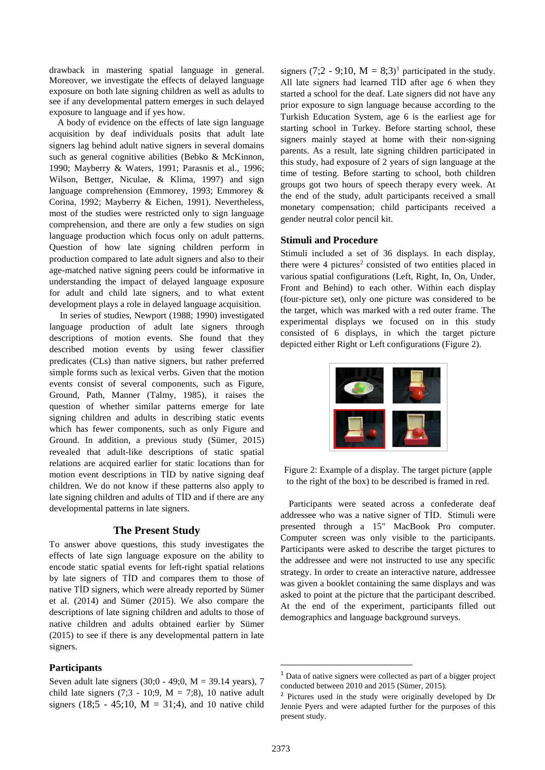drawback in mastering spatial language in general. Moreover, we investigate the effects of delayed language exposure on both late signing children as well as adults to see if any developmental pattern emerges in such delayed exposure to language and if yes how.

A body of evidence on the effects of late sign language acquisition by deaf individuals posits that adult late signers lag behind adult native signers in several domains such as general cognitive abilities (Bebko & McKinnon, 1990; Mayberry & Waters, 1991; Parasnis et al., 1996; Wilson, Bettger, Niculae, & Klima, 1997) and sign language comprehension (Emmorey, 1993; Emmorey & Corina, 1992; Mayberry & Eichen, 1991). Nevertheless, most of the studies were restricted only to sign language comprehension, and there are only a few studies on sign language production which focus only on adult patterns. Question of how late signing children perform in production compared to late adult signers and also to their age-matched native signing peers could be informative in understanding the impact of delayed language exposure for adult and child late signers, and to what extent development plays a role in delayed language acquisition.

In series of studies, Newport (1988; 1990) investigated language production of adult late signers through descriptions of motion events. She found that they described motion events by using fewer classifier predicates (CLs) than native signers, but rather preferred simple forms such as lexical verbs. Given that the motion events consist of several components, such as Figure, Ground, Path, Manner (Talmy, 1985), it raises the question of whether similar patterns emerge for late signing children and adults in describing static events which has fewer components, such as only Figure and Ground. In addition, a previous study (Sümer, 2015) revealed that adult-like descriptions of static spatial relations are acquired earlier for static locations than for motion event descriptions in TİD by native signing deaf children. We do not know if these patterns also apply to late signing children and adults of TİD and if there are any developmental patterns in late signers.

# **The Present Study**

To answer above questions, this study investigates the effects of late sign language exposure on the ability to encode static spatial events for left-right spatial relations by late signers of TİD and compares them to those of native TİD signers, which were already reported by Sümer et al. (2014) and Sümer (2015). We also compare the descriptions of late signing children and adults to those of native children and adults obtained earlier by Sümer (2015) to see if there is any developmental pattern in late signers.

# **Participants**

<span id="page-1-1"></span><span id="page-1-0"></span>Seven adult late signers (30;0 - 49;0, M = 39.14 years), 7 child late signers  $(7;3 - 10;9, M = 7;8)$ , 10 native adult signers (18;5 - 45;10,  $M = 31;4$ ), and 10 native child

signers (7;2 - 9;[1](#page-1-0)0,  $M = 8$ ;3)<sup>1</sup> participated in the study. All late signers had learned TİD after age 6 when they started a school for the deaf. Late signers did not have any prior exposure to sign language because according to the Turkish Education System, age 6 is the earliest age for starting school in Turkey. Before starting school, these signers mainly stayed at home with their non-signing parents. As a result, late signing children participated in this study, had exposure of 2 years of sign language at the time of testing. Before starting to school, both children groups got two hours of speech therapy every week. At the end of the study, adult participants received a small monetary compensation; child participants received a gender neutral color pencil kit.

# **Stimuli and Procedure**

Stimuli included a set of 36 displays. In each display, there were  $4$  pictures<sup>[2](#page-1-1)</sup> consisted of two entities placed in various spatial configurations (Left, Right, In, On, Under, Front and Behind) to each other. Within each display (four-picture set), only one picture was considered to be the target, which was marked with a red outer frame. The experimental displays we focused on in this study consisted of 6 displays, in which the target picture depicted either Right or Left configurations (Figure 2).



Figure 2: Example of a display. The target picture (apple to the right of the box) to be described is framed in red.

Participants were seated across a confederate deaf addressee who was a native signer of TİD. Stimuli were presented through a 15" MacBook Pro computer. Computer screen was only visible to the participants. Participants were asked to describe the target pictures to the addressee and were not instructed to use any specific strategy. In order to create an interactive nature, addressee was given a booklet containing the same displays and was asked to point at the picture that the participant described. At the end of the experiment, participants filled out demographics and language background surveys.

 <sup>1</sup> Data of native signers were collected as part of a bigger project conducted between 2010 and 2015 (Sümer, 2015).

<sup>2</sup> Pictures used in the study were originally developed by Dr Jennie Pyers and were adapted further for the purposes of this present study.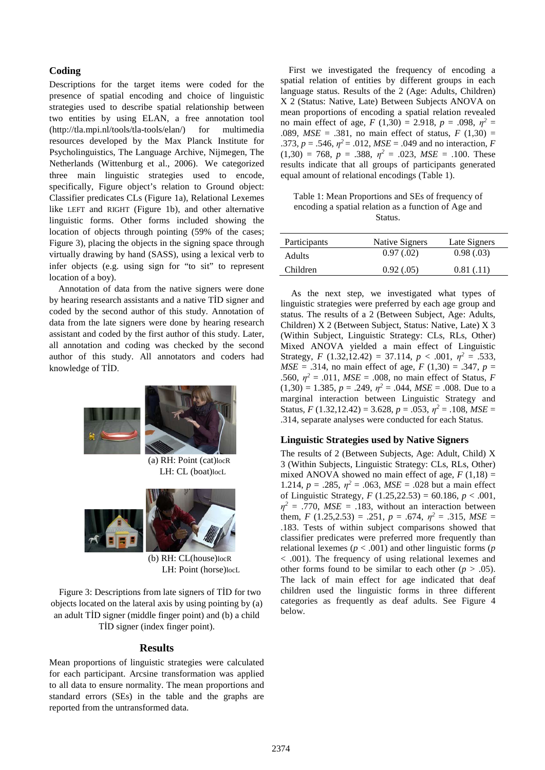# **Coding**

Descriptions for the target items were coded for the presence of spatial encoding and choice of linguistic strategies used to describe spatial relationship between two entities by using ELAN, a free annotation tool [\(http://tla.mpi.nl/tools/tla-tools/elan/\)](http://tla.mpi.nl/tools/tla-tools/elan/) for multimedia resources developed by the Max Planck Institute for Psycholinguistics, The Language Archive, Nijmegen, The Netherlands (Wittenburg et al., 2006). We categorized three main linguistic strategies used to encode, specifically, Figure object's relation to Ground object: Classifier predicates CLs (Figure 1a), Relational Lexemes like LEFT and RIGHT (Figure 1b), and other alternative linguistic forms. Other forms included showing the location of objects through pointing (59% of the cases; Figure 3), placing the objects in the signing space through virtually drawing by hand (SASS), using a lexical verb to infer objects (e.g. using sign for "to sit" to represent location of a boy).

 Annotation of data from the native signers were done by hearing research assistants and a native TİD signer and coded by the second author of this study. Annotation of data from the late signers were done by hearing research assistant and coded by the first author of this study. Later, all annotation and coding was checked by the second author of this study. All annotators and coders had knowledge of TİD.





(b) RH: CL(house)locR LH: Point (horse)locL

Figure 3: Descriptions from late signers of TİD for two objects located on the lateral axis by using pointing by (a) an adult TİD signer (middle finger point) and (b) a child TİD signer (index finger point).

# **Results**

Mean proportions of linguistic strategies were calculated for each participant. Arcsine transformation was applied to all data to ensure normality. The mean proportions and standard errors (SEs) in the table and the graphs are reported from the untransformed data.

First we investigated the frequency of encoding a spatial relation of entities by different groups in each language status. Results of the 2 (Age: Adults, Children) X 2 (Status: Native, Late) Between Subjects ANOVA on mean proportions of encoding a spatial relation revealed no main effect of age,  $F(1,30) = 2.918$ ,  $p = .098$ ,  $p^2 =$ .089,  $MSE = .381$ , no main effect of status,  $F(1,30) =$ .373,  $p = .546$ ,  $\eta^2 = .012$ ,  $MSE = .049$  and no interaction, *F*  $(1,30) = 768$ ,  $p = .388$ ,  $\eta^2 = .023$ ,  $MSE = .100$ . These results indicate that all groups of participants generated equal amount of relational encodings (Table 1).

Table 1: Mean Proportions and SEs of frequency of encoding a spatial relation as a function of Age and **Status**.

| Participants | Native Signers | Late Signers |
|--------------|----------------|--------------|
| Adults       | 0.97(0.02)     | 0.98(.03)    |
| Children     | 0.92(0.05)     | 0.81(0.11)   |
|              |                |              |

As the next step, we investigated what types of linguistic strategies were preferred by each age group and status. The results of a 2 (Between Subject, Age: Adults, Children) X 2 (Between Subject, Status: Native, Late) X 3 (Within Subject, Linguistic Strategy: CLs, RLs, Other) Mixed ANOVA yielded a main effect of Linguistic Strategy, *F* (1.32,12.42) = 37.114,  $p < .001$ ,  $n^2 = .533$ , *MSE* = .314, no main effect of age,  $F(1,30) = .347$ ,  $p =$ .560,  $n^2 = .011$ ,  $MSE = .008$ , no main effect of Status, *F*  $(1,30) = 1.385, p = .249, \eta^2 = .044, MSE = .008. Due to a$ marginal interaction between Linguistic Strategy and Status,  $F(1.32, 12.42) = 3.628$ ,  $p = .053$ ,  $\eta^2 = .108$ ,  $MSE =$ .314, separate analyses were conducted for each Status.

# **Linguistic Strategies used by Native Signers**

The results of 2 (Between Subjects, Age: Adult, Child) X 3 (Within Subjects, Linguistic Strategy: CLs, RLs, Other) mixed ANOVA showed no main effect of age,  $F(1,18) =$ 1.214,  $p = .285$ ,  $\eta^2 = .063$ ,  $MSE = .028$  but a main effect of Linguistic Strategy,  $F(1.25,22.53) = 60.186$ ,  $p < .001$ ,  $\eta^2$  = .770, *MSE* = .183, without an interaction between them,  $F(1.25, 2.53) = .251$ ,  $p = .674$ ,  $p^2 = .315$ ,  $MSE =$ .183. Tests of within subject comparisons showed that classifier predicates were preferred more frequently than relational lexemes (*p* < .001) and other linguistic forms (*p* < .001). The frequency of using relational lexemes and other forms found to be similar to each other  $(p > .05)$ . The lack of main effect for age indicated that deaf children used the linguistic forms in three different categories as frequently as deaf adults. See Figure 4 below.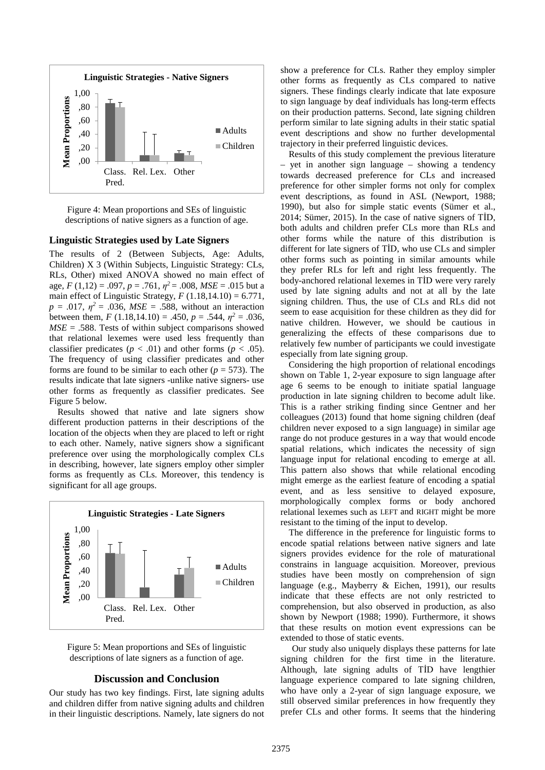

Figure 4: Mean proportions and SEs of linguistic descriptions of native signers as a function of age.

#### **Linguistic Strategies used by Late Signers**

The results of 2 (Between Subjects, Age: Adults, Children) X 3 (Within Subjects, Linguistic Strategy: CLs, RLs, Other) mixed ANOVA showed no main effect of age,  $F(1,12) = .097$ ,  $p = .761$ ,  $p^2 = .008$ ,  $MSE = .015$  but a main effect of Linguistic Strategy,  $F(1.18,14.10) = 6.771$ ,  $p = .017$ ,  $p^2 = .036$ , *MSE* = .588, without an interaction between them,  $F(1.18,14.10) = .450$ ,  $p = .544$ ,  $\eta^2 = .036$ ,  $MSE = .588$ . Tests of within subject comparisons showed that relational lexemes were used less frequently than classifier predicates ( $p < .01$ ) and other forms ( $p < .05$ ). The frequency of using classifier predicates and other forms are found to be similar to each other ( $p = 573$ ). The results indicate that late signers -unlike native signers- use other forms as frequently as classifier predicates. See Figure 5 below.

Results showed that native and late signers show different production patterns in their descriptions of the location of the objects when they are placed to left or right to each other. Namely, native signers show a significant preference over using the morphologically complex CLs in describing, however, late signers employ other simpler forms as frequently as CLs. Moreover, this tendency is significant for all age groups.



Figure 5: Mean proportions and SEs of linguistic descriptions of late signers as a function of age.

#### **Discussion and Conclusion**

Our study has two key findings. First, late signing adults and children differ from native signing adults and children in their linguistic descriptions. Namely, late signers do not

show a preference for CLs. Rather they employ simpler other forms as frequently as CLs compared to native signers. These findings clearly indicate that late exposure to sign language by deaf individuals has long-term effects on their production patterns. Second, late signing children perform similar to late signing adults in their static spatial event descriptions and show no further developmental trajectory in their preferred linguistic devices.

Results of this study complement the previous literature – yet in another sign language – showing a tendency towards decreased preference for CLs and increased preference for other simpler forms not only for complex event descriptions, as found in ASL (Newport, 1988; 1990), but also for simple static events (Sümer et al., 2014; Sümer, 2015). In the case of native signers of TİD, both adults and children prefer CLs more than RLs and other forms while the nature of this distribution is different for late signers of TİD, who use CLs and simpler other forms such as pointing in similar amounts while they prefer RLs for left and right less frequently. The body-anchored relational lexemes in TİD were very rarely used by late signing adults and not at all by the late signing children. Thus, the use of CLs and RLs did not seem to ease acquisition for these children as they did for native children. However, we should be cautious in generalizing the effects of these comparisons due to relatively few number of participants we could investigate especially from late signing group.

Considering the high proportion of relational encodings shown on Table 1, 2-year exposure to sign language after age 6 seems to be enough to initiate spatial language production in late signing children to become adult like. This is a rather striking finding since Gentner and her colleagues (2013) found that home signing children (deaf children never exposed to a sign language) in similar age range do not produce gestures in a way that would encode spatial relations, which indicates the necessity of sign language input for relational encoding to emerge at all. This pattern also shows that while relational encoding might emerge as the earliest feature of encoding a spatial event, and as less sensitive to delayed exposure, morphologically complex forms or body anchored relational lexemes such as LEFT and RIGHT might be more resistant to the timing of the input to develop.

The difference in the preference for linguistic forms to encode spatial relations between native signers and late signers provides evidence for the role of maturational constrains in language acquisition. Moreover, previous studies have been mostly on comprehension of sign language (e.g., Mayberry & Eichen, 1991), our results indicate that these effects are not only restricted to comprehension, but also observed in production, as also shown by Newport (1988; 1990). Furthermore, it shows that these results on motion event expressions can be extended to those of static events.

 Our study also uniquely displays these patterns for late signing children for the first time in the literature. Although, late signing adults of TİD have lengthier language experience compared to late signing children, who have only a 2-year of sign language exposure, we still observed similar preferences in how frequently they prefer CLs and other forms. It seems that the hindering